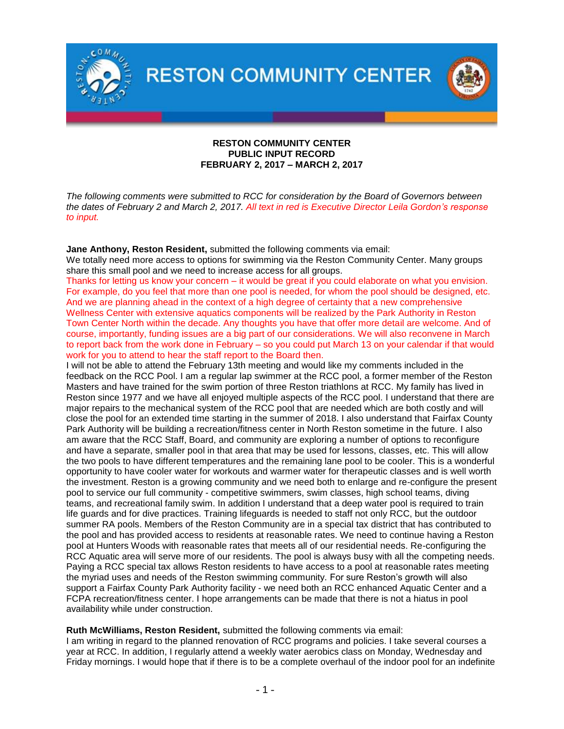

## **RESTON COMMUNITY CENTER PUBLIC INPUT RECORD FEBRUARY 2, 2017 – MARCH 2, 2017**

*The following comments were submitted to RCC for consideration by the Board of Governors between the dates of February 2 and March 2, 2017. All text in red is Executive Director Leila Gordon's response to input.* 

# **Jane Anthony, Reston Resident,** submitted the following comments via email:

We totally need more access to options for swimming via the Reston Community Center. Many groups share this small pool and we need to increase access for all groups.

Thanks for letting us know your concern – it would be great if you could elaborate on what you envision. For example, do you feel that more than one pool is needed, for whom the pool should be designed, etc. And we are planning ahead in the context of a high degree of certainty that a new comprehensive Wellness Center with extensive aquatics components will be realized by the Park Authority in Reston Town Center North within the decade. Any thoughts you have that offer more detail are welcome. And of course, importantly, funding issues are a big part of our considerations. We will also reconvene in March to report back from the work done in February – so you could put March 13 on your calendar if that would work for you to attend to hear the staff report to the Board then.

I will not be able to attend the February 13th meeting and would like my comments included in the feedback on the RCC Pool. I am a regular lap swimmer at the RCC pool, a former member of the Reston Masters and have trained for the swim portion of three Reston triathlons at RCC. My family has lived in Reston since 1977 and we have all enjoyed multiple aspects of the RCC pool. I understand that there are major repairs to the mechanical system of the RCC pool that are needed which are both costly and will close the pool for an extended time starting in the summer of 2018. I also understand that Fairfax County Park Authority will be building a recreation/fitness center in North Reston sometime in the future. I also am aware that the RCC Staff, Board, and community are exploring a number of options to reconfigure and have a separate, smaller pool in that area that may be used for lessons, classes, etc. This will allow the two pools to have different temperatures and the remaining lane pool to be cooler. This is a wonderful opportunity to have cooler water for workouts and warmer water for therapeutic classes and is well worth the investment. Reston is a growing community and we need both to enlarge and re-configure the present pool to service our full community - competitive swimmers, swim classes, high school teams, diving teams, and recreational family swim. In addition I understand that a deep water pool is required to train life guards and for dive practices. Training lifeguards is needed to staff not only RCC, but the outdoor summer RA pools. Members of the Reston Community are in a special tax district that has contributed to the pool and has provided access to residents at reasonable rates. We need to continue having a Reston pool at Hunters Woods with reasonable rates that meets all of our residential needs. Re-configuring the RCC Aquatic area will serve more of our residents. The pool is always busy with all the competing needs. Paying a RCC special tax allows Reston residents to have access to a pool at reasonable rates meeting the myriad uses and needs of the Reston swimming community. For sure Reston's growth will also support a Fairfax County Park Authority facility - we need both an RCC enhanced Aquatic Center and a FCPA recreation/fitness center. I hope arrangements can be made that there is not a hiatus in pool availability while under construction.

## **Ruth McWilliams, Reston Resident,** submitted the following comments via email:

I am writing in regard to the planned renovation of RCC programs and policies. I take several courses a year at RCC. In addition, I regularly attend a weekly water aerobics class on Monday, Wednesday and Friday mornings. I would hope that if there is to be a complete overhaul of the indoor pool for an indefinite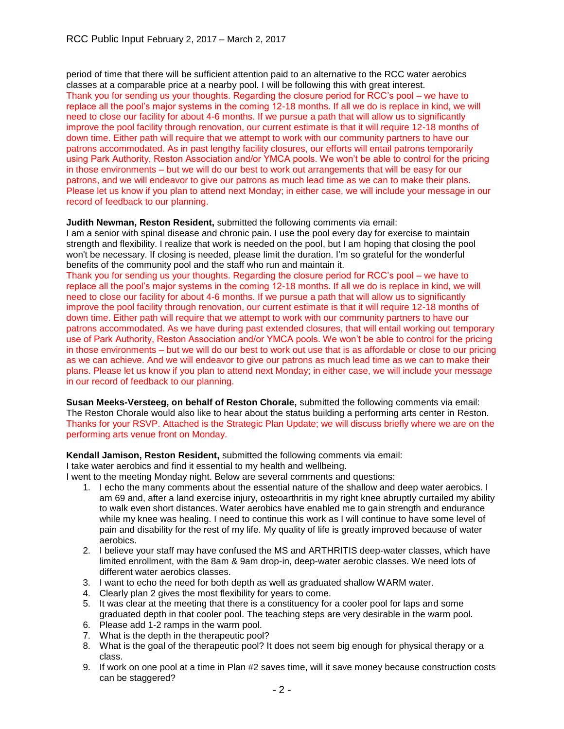period of time that there will be sufficient attention paid to an alternative to the RCC water aerobics classes at a comparable price at a nearby pool. I will be following this with great interest. Thank you for sending us your thoughts. Regarding the closure period for RCC's pool – we have to replace all the pool's major systems in the coming 12-18 months. If all we do is replace in kind, we will need to close our facility for about 4-6 months. If we pursue a path that will allow us to significantly improve the pool facility through renovation, our current estimate is that it will require 12-18 months of down time. Either path will require that we attempt to work with our community partners to have our patrons accommodated. As in past lengthy facility closures, our efforts will entail patrons temporarily using Park Authority, Reston Association and/or YMCA pools. We won't be able to control for the pricing in those environments – but we will do our best to work out arrangements that will be easy for our patrons, and we will endeavor to give our patrons as much lead time as we can to make their plans. Please let us know if you plan to attend next Monday; in either case, we will include your message in our record of feedback to our planning.

# **Judith Newman, Reston Resident,** submitted the following comments via email:

I am a senior with spinal disease and chronic pain. I use the pool every day for exercise to maintain strength and flexibility. I realize that work is needed on the pool, but I am hoping that closing the pool won't be necessary. If closing is needed, please limit the duration. I'm so grateful for the wonderful benefits of the community pool and the staff who run and maintain it.

Thank you for sending us your thoughts. Regarding the closure period for RCC's pool – we have to replace all the pool's major systems in the coming 12-18 months. If all we do is replace in kind, we will need to close our facility for about 4-6 months. If we pursue a path that will allow us to significantly improve the pool facility through renovation, our current estimate is that it will require 12-18 months of down time. Either path will require that we attempt to work with our community partners to have our patrons accommodated. As we have during past extended closures, that will entail working out temporary use of Park Authority, Reston Association and/or YMCA pools. We won't be able to control for the pricing in those environments – but we will do our best to work out use that is as affordable or close to our pricing as we can achieve. And we will endeavor to give our patrons as much lead time as we can to make their plans. Please let us know if you plan to attend next Monday; in either case, we will include your message in our record of feedback to our planning.

**Susan Meeks-Versteeg, on behalf of Reston Chorale,** submitted the following comments via email: The Reston Chorale would also like to hear about the status building a performing arts center in Reston. Thanks for your RSVP. Attached is the Strategic Plan Update; we will discuss briefly where we are on the performing arts venue front on Monday.

## **Kendall Jamison, Reston Resident,** submitted the following comments via email:

I take water aerobics and find it essential to my health and wellbeing.

I went to the meeting Monday night. Below are several comments and questions:

- 1. I echo the many comments about the essential nature of the shallow and deep water aerobics. I am 69 and, after a land exercise injury, osteoarthritis in my right knee abruptly curtailed my ability to walk even short distances. Water aerobics have enabled me to gain strength and endurance while my knee was healing. I need to continue this work as I will continue to have some level of pain and disability for the rest of my life. My quality of life is greatly improved because of water aerobics.
- 2. I believe your staff may have confused the MS and ARTHRITIS deep-water classes, which have limited enrollment, with the 8am & 9am drop-in, deep-water aerobic classes. We need lots of different water aerobics classes.
- 3. I want to echo the need for both depth as well as graduated shallow WARM water.
- 4. Clearly plan 2 gives the most flexibility for years to come.
- 5. It was clear at the meeting that there is a constituency for a cooler pool for laps and some graduated depth in that cooler pool. The teaching steps are very desirable in the warm pool.
- 6. Please add 1-2 ramps in the warm pool.
- 7. What is the depth in the therapeutic pool?
- 8. What is the goal of the therapeutic pool? It does not seem big enough for physical therapy or a class.
- 9. If work on one pool at a time in Plan #2 saves time, will it save money because construction costs can be staggered?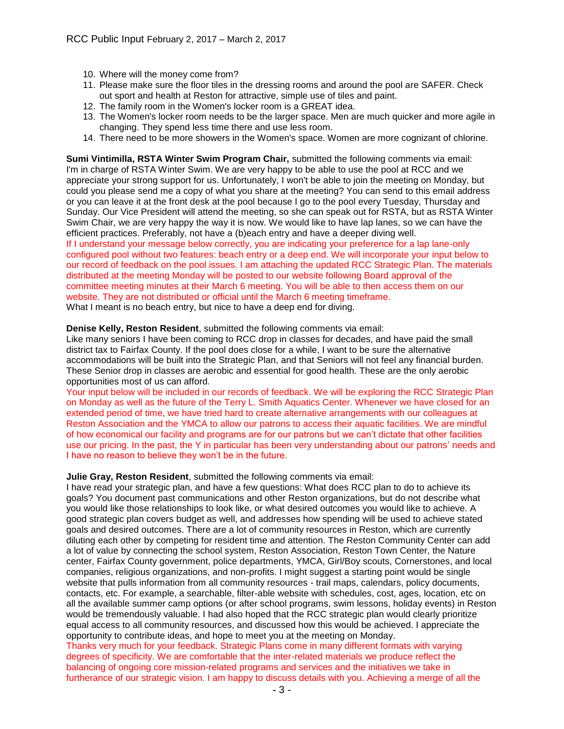- 10. Where will the money come from?
- 11. Please make sure the floor tiles in the dressing rooms and around the pool are SAFER. Check out sport and health at Reston for attractive, simple use of tiles and paint.
- 12. The family room in the Women's locker room is a GREAT idea.
- 13. The Women's locker room needs to be the larger space. Men are much quicker and more agile in changing. They spend less time there and use less room.
- 14. There need to be more showers in the Women's space. Women are more cognizant of chlorine.

**Sumi Vintimilla, RSTA Winter Swim Program Chair,** submitted the following comments via email: I'm in charge of RSTA Winter Swim. We are very happy to be able to use the pool at RCC and we appreciate your strong support for us. Unfortunately, I won't be able to join the meeting on Monday, but could you please send me a copy of what you share at the meeting? You can send to this email address or you can leave it at the front desk at the pool because I go to the pool every Tuesday, Thursday and Sunday. Our Vice President will attend the meeting, so she can speak out for RSTA, but as RSTA Winter Swim Chair, we are very happy the way it is now. We would like to have lap lanes, so we can have the efficient practices. Preferably, not have a (b)each entry and have a deeper diving well. If I understand your message below correctly, you are indicating your preference for a lap lane-only

configured pool without two features: beach entry or a deep end. We will incorporate your input below to our record of feedback on the pool issues. I am attaching the updated RCC Strategic Plan. The materials distributed at the meeting Monday will be posted to our website following Board approval of the committee meeting minutes at their March 6 meeting. You will be able to then access them on our website. They are not distributed or official until the March 6 meeting timeframe. What I meant is no beach entry, but nice to have a deep end for diving.

**Denise Kelly, Reston Resident**, submitted the following comments via email: Like many seniors I have been coming to RCC drop in classes for decades, and have paid the small district tax to Fairfax County. If the pool does close for a while, I want to be sure the alternative accommodations will be built into the Strategic Plan, and that Seniors will not feel any financial burden. These Senior drop in classes are aerobic and essential for good health. These are the only aerobic opportunities most of us can afford.

Your input below will be included in our records of feedback. We will be exploring the RCC Strategic Plan on Monday as well as the future of the Terry L. Smith Aquatics Center. Whenever we have closed for an extended period of time, we have tried hard to create alternative arrangements with our colleagues at Reston Association and the YMCA to allow our patrons to access their aquatic facilities. We are mindful of how economical our facility and programs are for our patrons but we can't dictate that other facilities use our pricing. In the past, the Y in particular has been very understanding about our patrons' needs and I have no reason to believe they won't be in the future.

## **Julie Gray, Reston Resident**, submitted the following comments via email:

I have read your strategic plan, and have a few questions: What does RCC plan to do to achieve its goals? You document past communications and other Reston organizations, but do not describe what you would like those relationships to look like, or what desired outcomes you would like to achieve. A good strategic plan covers budget as well, and addresses how spending will be used to achieve stated goals and desired outcomes. There are a lot of community resources in Reston, which are currently diluting each other by competing for resident time and attention. The Reston Community Center can add a lot of value by connecting the school system, Reston Association, Reston Town Center, the Nature center, Fairfax County government, police departments, YMCA, Girl/Boy scouts, Cornerstones, and local companies, religious organizations, and non-profits. I might suggest a starting point would be single website that pulls information from all community resources - trail maps, calendars, policy documents, contacts, etc. For example, a searchable, filter-able website with schedules, cost, ages, location, etc on all the available summer camp options (or after school programs, swim lessons, holiday events) in Reston would be tremendously valuable. I had also hoped that the RCC strategic plan would clearly prioritize equal access to all community resources, and discussed how this would be achieved. I appreciate the opportunity to contribute ideas, and hope to meet you at the meeting on Monday.

Thanks very much for your feedback. Strategic Plans come in many different formats with varying degrees of specificity. We are comfortable that the inter-related materials we produce reflect the balancing of ongoing core mission-related programs and services and the initiatives we take in furtherance of our strategic vision. I am happy to discuss details with you. Achieving a merge of all the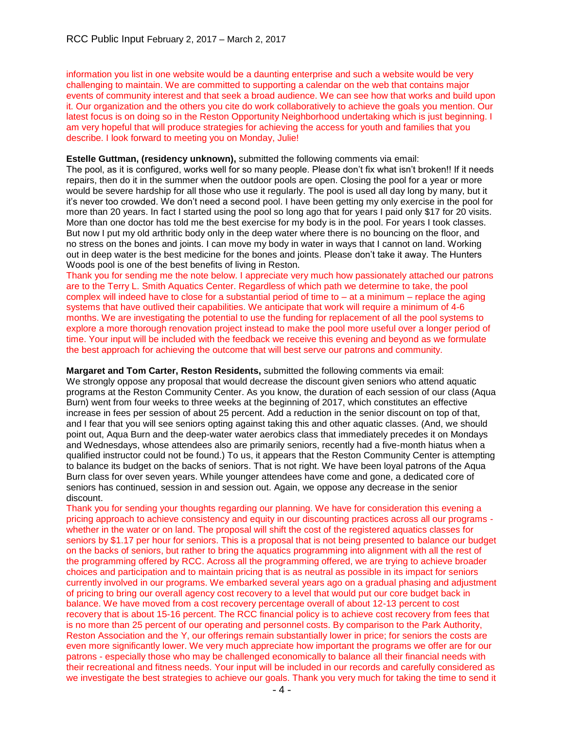information you list in one website would be a daunting enterprise and such a website would be very challenging to maintain. We are committed to supporting a calendar on the web that contains major events of community interest and that seek a broad audience. We can see how that works and build upon it. Our organization and the others you cite do work collaboratively to achieve the goals you mention. Our latest focus is on doing so in the Reston Opportunity Neighborhood undertaking which is just beginning. I am very hopeful that will produce strategies for achieving the access for youth and families that you describe. I look forward to meeting you on Monday, Julie!

## **Estelle Guttman, (residency unknown),** submitted the following comments via email:

The pool, as it is configured, works well for so many people. Please don't fix what isn't broken!! If it needs repairs, then do it in the summer when the outdoor pools are open. Closing the pool for a year or more would be severe hardship for all those who use it regularly. The pool is used all day long by many, but it it's never too crowded. We don't need a second pool. I have been getting my only exercise in the pool for more than 20 years. In fact I started using the pool so long ago that for years I paid only \$17 for 20 visits. More than one doctor has told me the best exercise for my body is in the pool. For years I took classes. But now I put my old arthritic body only in the deep water where there is no bouncing on the floor, and no stress on the bones and joints. I can move my body in water in ways that I cannot on land. Working out in deep water is the best medicine for the bones and joints. Please don't take it away. The Hunters Woods pool is one of the best benefits of living in Reston.

Thank you for sending me the note below. I appreciate very much how passionately attached our patrons are to the Terry L. Smith Aquatics Center. Regardless of which path we determine to take, the pool complex will indeed have to close for a substantial period of time to – at a minimum – replace the aging systems that have outlived their capabilities. We anticipate that work will require a minimum of 4-6 months. We are investigating the potential to use the funding for replacement of all the pool systems to explore a more thorough renovation project instead to make the pool more useful over a longer period of time. Your input will be included with the feedback we receive this evening and beyond as we formulate the best approach for achieving the outcome that will best serve our patrons and community.

**Margaret and Tom Carter, Reston Residents,** submitted the following comments via email: We strongly oppose any proposal that would decrease the discount given seniors who attend aquatic programs at the Reston Community Center. As you know, the duration of each session of our class (Aqua Burn) went from four weeks to three weeks at the beginning of 2017, which constitutes an effective increase in fees per session of about 25 percent. Add a reduction in the senior discount on top of that, and I fear that you will see seniors opting against taking this and other aquatic classes. (And, we should point out, Aqua Burn and the deep-water water aerobics class that immediately precedes it on Mondays and Wednesdays, whose attendees also are primarily seniors, recently had a five-month hiatus when a qualified instructor could not be found.) To us, it appears that the Reston Community Center is attempting to balance its budget on the backs of seniors. That is not right. We have been loyal patrons of the Aqua Burn class for over seven years. While younger attendees have come and gone, a dedicated core of seniors has continued, session in and session out. Again, we oppose any decrease in the senior discount.

Thank you for sending your thoughts regarding our planning. We have for consideration this evening a pricing approach to achieve consistency and equity in our discounting practices across all our programs whether in the water or on land. The proposal will shift the cost of the registered aquatics classes for seniors by \$1.17 per hour for seniors. This is a proposal that is not being presented to balance our budget on the backs of seniors, but rather to bring the aquatics programming into alignment with all the rest of the programming offered by RCC. Across all the programming offered, we are trying to achieve broader choices and participation and to maintain pricing that is as neutral as possible in its impact for seniors currently involved in our programs. We embarked several years ago on a gradual phasing and adjustment of pricing to bring our overall agency cost recovery to a level that would put our core budget back in balance. We have moved from a cost recovery percentage overall of about 12-13 percent to cost recovery that is about 15-16 percent. The RCC financial policy is to achieve cost recovery from fees that is no more than 25 percent of our operating and personnel costs. By comparison to the Park Authority, Reston Association and the Y, our offerings remain substantially lower in price; for seniors the costs are even more significantly lower. We very much appreciate how important the programs we offer are for our patrons - especially those who may be challenged economically to balance all their financial needs with their recreational and fitness needs. Your input will be included in our records and carefully considered as we investigate the best strategies to achieve our goals. Thank you very much for taking the time to send it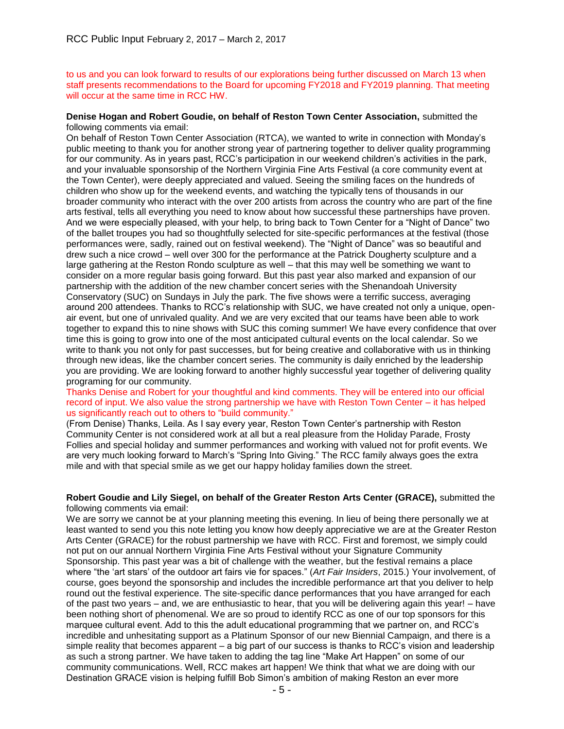to us and you can look forward to results of our explorations being further discussed on March 13 when staff presents recommendations to the Board for upcoming FY2018 and FY2019 planning. That meeting will occur at the same time in RCC HW.

#### **Denise Hogan and Robert Goudie, on behalf of Reston Town Center Association,** submitted the following comments via email:

On behalf of Reston Town Center Association (RTCA), we wanted to write in connection with Monday's public meeting to thank you for another strong year of partnering together to deliver quality programming for our community. As in years past, RCC's participation in our weekend children's activities in the park, and your invaluable sponsorship of the Northern Virginia Fine Arts Festival (a core community event at the Town Center), were deeply appreciated and valued. Seeing the smiling faces on the hundreds of children who show up for the weekend events, and watching the typically tens of thousands in our broader community who interact with the over 200 artists from across the country who are part of the fine arts festival, tells all everything you need to know about how successful these partnerships have proven. And we were especially pleased, with your help, to bring back to Town Center for a "Night of Dance" two of the ballet troupes you had so thoughtfully selected for site-specific performances at the festival (those performances were, sadly, rained out on festival weekend). The "Night of Dance" was so beautiful and drew such a nice crowd – well over 300 for the performance at the Patrick Dougherty sculpture and a large gathering at the Reston Rondo sculpture as well – that this may well be something we want to consider on a more regular basis going forward. But this past year also marked and expansion of our partnership with the addition of the new chamber concert series with the Shenandoah University Conservatory (SUC) on Sundays in July the park. The five shows were a terrific success, averaging around 200 attendees. Thanks to RCC's relationship with SUC, we have created not only a unique, openair event, but one of unrivaled quality. And we are very excited that our teams have been able to work together to expand this to nine shows with SUC this coming summer! We have every confidence that over time this is going to grow into one of the most anticipated cultural events on the local calendar. So we write to thank you not only for past successes, but for being creative and collaborative with us in thinking through new ideas, like the chamber concert series. The community is daily enriched by the leadership you are providing. We are looking forward to another highly successful year together of delivering quality programing for our community.

Thanks Denise and Robert for your thoughtful and kind comments. They will be entered into our official record of input. We also value the strong partnership we have with Reston Town Center – it has helped us significantly reach out to others to "build community."

(From Denise) Thanks, Leila. As I say every year, Reston Town Center's partnership with Reston Community Center is not considered work at all but a real pleasure from the Holiday Parade, Frosty Follies and special holiday and summer performances and working with valued not for profit events. We are very much looking forward to March's "Spring Into Giving." The RCC family always goes the extra mile and with that special smile as we get our happy holiday families down the street.

#### **Robert Goudie and Lily Siegel, on behalf of the Greater Reston Arts Center (GRACE),** submitted the following comments via email:

We are sorry we cannot be at your planning meeting this evening. In lieu of being there personally we at least wanted to send you this note letting you know how deeply appreciative we are at the Greater Reston Arts Center (GRACE) for the robust partnership we have with RCC. First and foremost, we simply could not put on our annual Northern Virginia Fine Arts Festival without your Signature Community Sponsorship. This past year was a bit of challenge with the weather, but the festival remains a place where "the 'art stars' of the outdoor art fairs vie for spaces." (*Art Fair Insiders*, 2015.) Your involvement, of course, goes beyond the sponsorship and includes the incredible performance art that you deliver to help round out the festival experience. The site-specific dance performances that you have arranged for each of the past two years – and, we are enthusiastic to hear, that you will be delivering again this year! – have been nothing short of phenomenal. We are so proud to identify RCC as one of our top sponsors for this marquee cultural event. Add to this the adult educational programming that we partner on, and RCC's incredible and unhesitating support as a Platinum Sponsor of our new Biennial Campaign, and there is a simple reality that becomes apparent – a big part of our success is thanks to RCC's vision and leadership as such a strong partner. We have taken to adding the tag line "Make Art Happen" on some of our community communications. Well, RCC makes art happen! We think that what we are doing with our Destination GRACE vision is helping fulfill Bob Simon's ambition of making Reston an ever more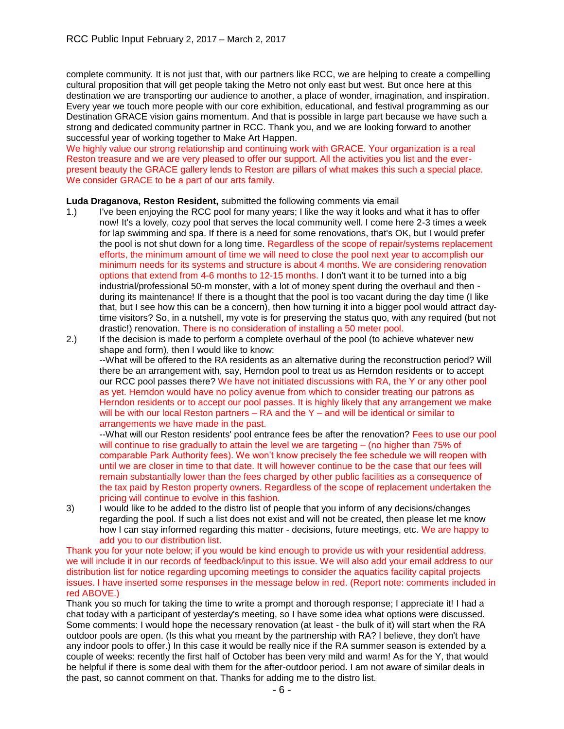complete community. It is not just that, with our partners like RCC, we are helping to create a compelling cultural proposition that will get people taking the Metro not only east but west. But once here at this destination we are transporting our audience to another, a place of wonder, imagination, and inspiration. Every year we touch more people with our core exhibition, educational, and festival programming as our Destination GRACE vision gains momentum. And that is possible in large part because we have such a strong and dedicated community partner in RCC. Thank you, and we are looking forward to another successful year of working together to Make Art Happen.

We highly value our strong relationship and continuing work with GRACE. Your organization is a real Reston treasure and we are very pleased to offer our support. All the activities you list and the everpresent beauty the GRACE gallery lends to Reston are pillars of what makes this such a special place. We consider GRACE to be a part of our arts family.

## **Luda Draganova, Reston Resident,** submitted the following comments via email

- 1.) I've been enjoying the RCC pool for many years; I like the way it looks and what it has to offer now! It's a lovely, cozy pool that serves the local community well. I come here 2-3 times a week for lap swimming and spa. If there is a need for some renovations, that's OK, but I would prefer the pool is not shut down for a long time. Regardless of the scope of repair/systems replacement efforts, the minimum amount of time we will need to close the pool next year to accomplish our minimum needs for its systems and structure is about 4 months. We are considering renovation options that extend from 4-6 months to 12-15 months. I don't want it to be turned into a big industrial/professional 50-m monster, with a lot of money spent during the overhaul and then during its maintenance! If there is a thought that the pool is too vacant during the day time (I like that, but I see how this can be a concern), then how turning it into a bigger pool would attract daytime visitors? So, in a nutshell, my vote is for preserving the status quo, with any required (but not drastic!) renovation. There is no consideration of installing a 50 meter pool.
- 2.) If the decision is made to perform a complete overhaul of the pool (to achieve whatever new shape and form), then I would like to know:

--What will be offered to the RA residents as an alternative during the reconstruction period? Will there be an arrangement with, say, Herndon pool to treat us as Herndon residents or to accept our RCC pool passes there? We have not initiated discussions with RA, the Y or any other pool as yet. Herndon would have no policy avenue from which to consider treating our patrons as Herndon residents or to accept our pool passes. It is highly likely that any arrangement we make will be with our local Reston partners – RA and the Y – and will be identical or similar to arrangements we have made in the past.

--What will our Reston residents' pool entrance fees be after the renovation? Fees to use our pool will continue to rise gradually to attain the level we are targeting – (no higher than 75% of comparable Park Authority fees). We won't know precisely the fee schedule we will reopen with until we are closer in time to that date. It will however continue to be the case that our fees will remain substantially lower than the fees charged by other public facilities as a consequence of the tax paid by Reston property owners. Regardless of the scope of replacement undertaken the pricing will continue to evolve in this fashion.

3) I would like to be added to the distro list of people that you inform of any decisions/changes regarding the pool. If such a list does not exist and will not be created, then please let me know how I can stay informed regarding this matter - decisions, future meetings, etc. We are happy to add you to our distribution list.

Thank you for your note below; if you would be kind enough to provide us with your residential address, we will include it in our records of feedback/input to this issue. We will also add your email address to our distribution list for notice regarding upcoming meetings to consider the aquatics facility capital projects issues. I have inserted some responses in the message below in red. (Report note: comments included in red ABOVE.)

Thank you so much for taking the time to write a prompt and thorough response; I appreciate it! I had a chat today with a participant of yesterday's meeting, so I have some idea what options were discussed. Some comments: I would hope the necessary renovation (at least - the bulk of it) will start when the RA outdoor pools are open. (Is this what you meant by the partnership with RA? I believe, they don't have any indoor pools to offer.) In this case it would be really nice if the RA summer season is extended by a couple of weeks: recently the first half of October has been very mild and warm! As for the Y, that would be helpful if there is some deal with them for the after-outdoor period. I am not aware of similar deals in the past, so cannot comment on that. Thanks for adding me to the distro list.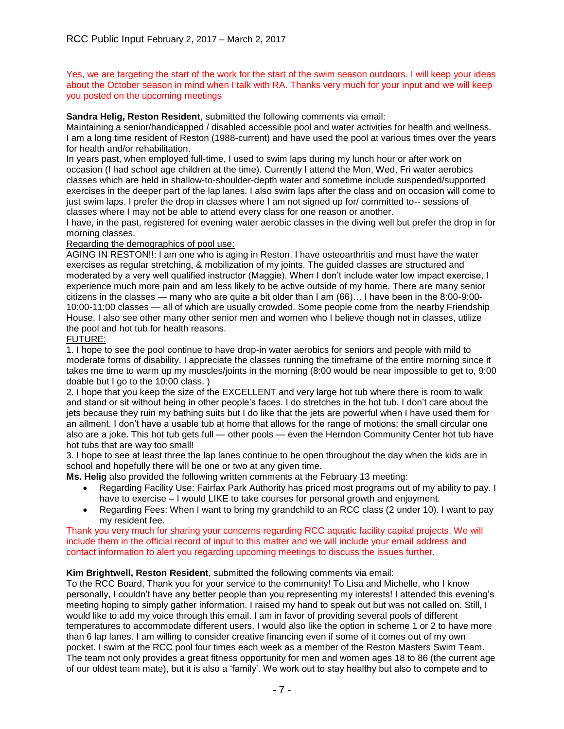Yes, we are targeting the start of the work for the start of the swim season outdoors. I will keep your ideas about the October season in mind when I talk with RA. Thanks very much for your input and we will keep you posted on the upcoming meetings

**Sandra Helig, Reston Resident**, submitted the following comments via email:

Maintaining a senior/handicapped / disabled accessible pool and water activities for health and wellness. I am a long time resident of Reston (1988-current) and have used the pool at various times over the years for health and/or rehabilitation.

In years past, when employed full-time, I used to swim laps during my lunch hour or after work on occasion (I had school age children at the time). Currently I attend the Mon, Wed, Fri water aerobics classes which are held in shallow-to-shoulder-depth water and sometime include suspended/supported exercises in the deeper part of the lap lanes. I also swim laps after the class and on occasion will come to just swim laps. I prefer the drop in classes where I am not signed up for/ committed to-- sessions of classes where I may not be able to attend every class for one reason or another.

I have, in the past, registered for evening water aerobic classes in the diving well but prefer the drop in for morning classes.

# Regarding the demographics of pool use:

AGING IN RESTON!!: I am one who is aging in Reston. I have osteoarthritis and must have the water exercises as regular stretching, & mobilization of my joints. The guided classes are structured and moderated by a very well qualified instructor (Maggie). When I don't include water low impact exercise, I experience much more pain and am less likely to be active outside of my home. There are many senior citizens in the classes — many who are quite a bit older than I am (66)… I have been in the 8:00-9:00- 10:00-11:00 classes — all of which are usually crowded. Some people come from the nearby Friendship House. I also see other many other senior men and women who I believe though not in classes, utilize the pool and hot tub for health reasons.

# FUTURE:

1. I hope to see the pool continue to have drop-in water aerobics for seniors and people with mild to moderate forms of disability. I appreciate the classes running the timeframe of the entire morning since it takes me time to warm up my muscles/joints in the morning (8:00 would be near impossible to get to, 9:00 doable but I go to the 10:00 class.)

2. I hope that you keep the size of the EXCELLENT and very large hot tub where there is room to walk and stand or sit without being in other people's faces. I do stretches in the hot tub. I don't care about the jets because they ruin my bathing suits but I do like that the jets are powerful when I have used them for an ailment. I don't have a usable tub at home that allows for the range of motions; the small circular one also are a joke. This hot tub gets full — other pools — even the Herndon Community Center hot tub have hot tubs that are way too small!

3. I hope to see at least three the lap lanes continue to be open throughout the day when the kids are in school and hopefully there will be one or two at any given time.

**Ms. Helig** also provided the following written comments at the February 13 meeting:

- Regarding Facility Use: Fairfax Park Authority has priced most programs out of my ability to pay. I have to exercise – I would LIKE to take courses for personal growth and enjoyment.
- Regarding Fees: When I want to bring my grandchild to an RCC class (2 under 10). I want to pay my resident fee.

Thank you very much for sharing your concerns regarding RCC aquatic facility capital projects. We will include them in the official record of input to this matter and we will include your email address and contact information to alert you regarding upcoming meetings to discuss the issues further.

# **Kim Brightwell, Reston Resident**, submitted the following comments via email:

To the RCC Board, Thank you for your service to the community! To Lisa and Michelle, who I know personally, I couldn't have any better people than you representing my interests! I attended this evening's meeting hoping to simply gather information. I raised my hand to speak out but was not called on. Still, I would like to add my voice through this email. I am in favor of providing several pools of different temperatures to accommodate different users. I would also like the option in scheme 1 or 2 to have more than 6 lap lanes. I am willing to consider creative financing even if some of it comes out of my own pocket. I swim at the RCC pool four times each week as a member of the Reston Masters Swim Team. The team not only provides a great fitness opportunity for men and women ages 18 to 86 (the current age of our oldest team mate), but it is also a 'family'. We work out to stay healthy but also to compete and to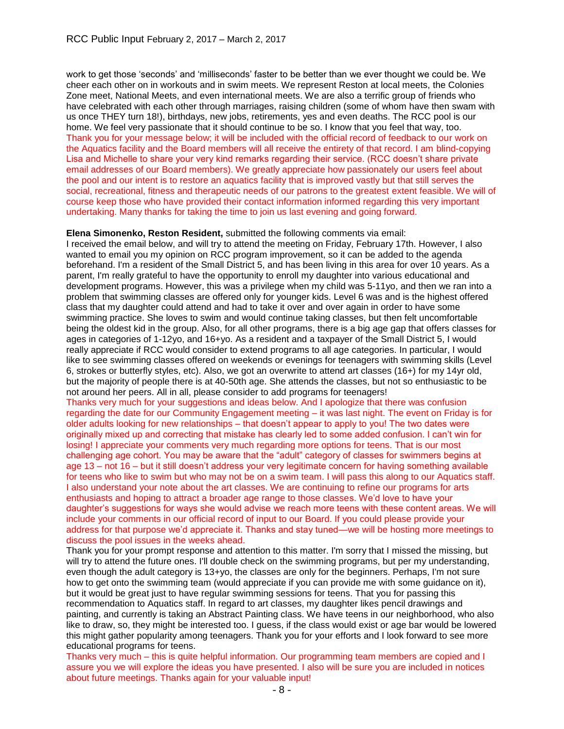work to get those 'seconds' and 'milliseconds' faster to be better than we ever thought we could be. We cheer each other on in workouts and in swim meets. We represent Reston at local meets, the Colonies Zone meet, National Meets, and even international meets. We are also a terrific group of friends who have celebrated with each other through marriages, raising children (some of whom have then swam with us once THEY turn 18!), birthdays, new jobs, retirements, yes and even deaths. The RCC pool is our home. We feel very passionate that it should continue to be so. I know that you feel that way, too. Thank you for your message below; it will be included with the official record of feedback to our work on the Aquatics facility and the Board members will all receive the entirety of that record. I am blind-copying Lisa and Michelle to share your very kind remarks regarding their service. (RCC doesn't share private email addresses of our Board members). We greatly appreciate how passionately our users feel about the pool and our intent is to restore an aquatics facility that is improved vastly but that still serves the social, recreational, fitness and therapeutic needs of our patrons to the greatest extent feasible. We will of course keep those who have provided their contact information informed regarding this very important undertaking. Many thanks for taking the time to join us last evening and going forward.

#### **Elena Simonenko, Reston Resident,** submitted the following comments via email:

I received the email below, and will try to attend the meeting on Friday, February 17th. However, I also wanted to email you my opinion on RCC program improvement, so it can be added to the agenda beforehand. I'm a resident of the Small District 5, and has been living in this area for over 10 years. As a parent, I'm really grateful to have the opportunity to enroll my daughter into various educational and development programs. However, this was a privilege when my child was 5-11yo, and then we ran into a problem that swimming classes are offered only for younger kids. Level 6 was and is the highest offered class that my daughter could attend and had to take it over and over again in order to have some swimming practice. She loves to swim and would continue taking classes, but then felt uncomfortable being the oldest kid in the group. Also, for all other programs, there is a big age gap that offers classes for ages in categories of 1-12yo, and 16+yo. As a resident and a taxpayer of the Small District 5, I would really appreciate if RCC would consider to extend programs to all age categories. In particular, I would like to see swimming classes offered on weekends or evenings for teenagers with swimming skills (Level 6, strokes or butterfly styles, etc). Also, we got an overwrite to attend art classes (16+) for my 14yr old, but the majority of people there is at 40-50th age. She attends the classes, but not so enthusiastic to be not around her peers. All in all, please consider to add programs for teenagers!

Thanks very much for your suggestions and ideas below. And I apologize that there was confusion regarding the date for our Community Engagement meeting – it was last night. The event on Friday is for older adults looking for new relationships – that doesn't appear to apply to you! The two dates were originally mixed up and correcting that mistake has clearly led to some added confusion. I can't win for losing! I appreciate your comments very much regarding more options for teens. That is our most challenging age cohort. You may be aware that the "adult" category of classes for swimmers begins at age 13 – not 16 – but it still doesn't address your very legitimate concern for having something available for teens who like to swim but who may not be on a swim team. I will pass this along to our Aquatics staff. I also understand your note about the art classes. We are continuing to refine our programs for arts enthusiasts and hoping to attract a broader age range to those classes. We'd love to have your daughter's suggestions for ways she would advise we reach more teens with these content areas. We will include your comments in our official record of input to our Board. If you could please provide your address for that purpose we'd appreciate it. Thanks and stay tuned—we will be hosting more meetings to discuss the pool issues in the weeks ahead.

Thank you for your prompt response and attention to this matter. I'm sorry that I missed the missing, but will try to attend the future ones. I'll double check on the swimming programs, but per my understanding, even though the adult category is 13+yo, the classes are only for the beginners. Perhaps, I'm not sure how to get onto the swimming team (would appreciate if you can provide me with some guidance on it), but it would be great just to have regular swimming sessions for teens. That you for passing this recommendation to Aquatics staff. In regard to art classes, my daughter likes pencil drawings and painting, and currently is taking an Abstract Painting class. We have teens in our neighborhood, who also like to draw, so, they might be interested too. I guess, if the class would exist or age bar would be lowered this might gather popularity among teenagers. Thank you for your efforts and I look forward to see more educational programs for teens.

Thanks very much – this is quite helpful information. Our programming team members are copied and I assure you we will explore the ideas you have presented. I also will be sure you are included in notices about future meetings. Thanks again for your valuable input!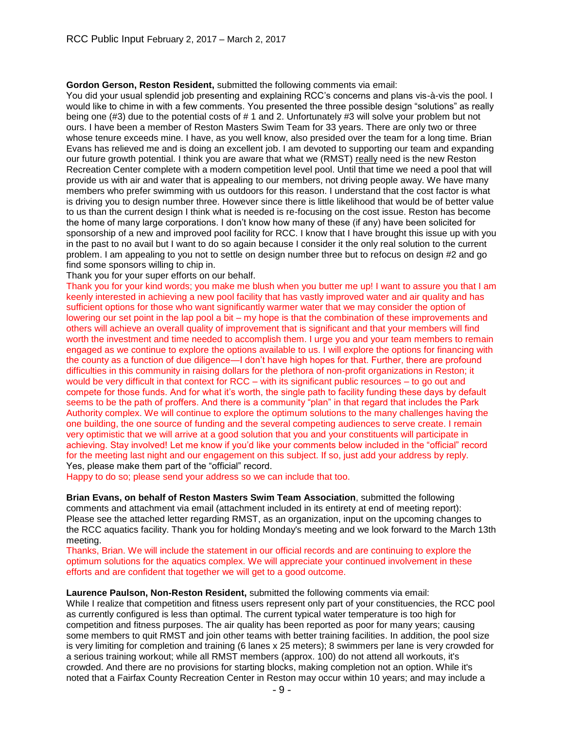**Gordon Gerson, Reston Resident,** submitted the following comments via email:

You did your usual splendid job presenting and explaining RCC's concerns and plans vis-à-vis the pool. I would like to chime in with a few comments. You presented the three possible design "solutions" as really being one (#3) due to the potential costs of # 1 and 2. Unfortunately #3 will solve your problem but not ours. I have been a member of Reston Masters Swim Team for 33 years. There are only two or three whose tenure exceeds mine. I have, as you well know, also presided over the team for a long time. Brian Evans has relieved me and is doing an excellent job. I am devoted to supporting our team and expanding our future growth potential. I think you are aware that what we (RMST) really need is the new Reston Recreation Center complete with a modern competition level pool. Until that time we need a pool that will provide us with air and water that is appealing to our members, not driving people away. We have many members who prefer swimming with us outdoors for this reason. I understand that the cost factor is what is driving you to design number three. However since there is little likelihood that would be of better value to us than the current design I think what is needed is re-focusing on the cost issue. Reston has become the home of many large corporations. I don't know how many of these (if any) have been solicited for sponsorship of a new and improved pool facility for RCC. I know that I have brought this issue up with you in the past to no avail but I want to do so again because I consider it the only real solution to the current problem. I am appealing to you not to settle on design number three but to refocus on design #2 and go find some sponsors willing to chip in.

Thank you for your super efforts on our behalf.

Thank you for your kind words; you make me blush when you butter me up! I want to assure you that I am keenly interested in achieving a new pool facility that has vastly improved water and air quality and has sufficient options for those who want significantly warmer water that we may consider the option of lowering our set point in the lap pool a bit – my hope is that the combination of these improvements and others will achieve an overall quality of improvement that is significant and that your members will find worth the investment and time needed to accomplish them. I urge you and your team members to remain engaged as we continue to explore the options available to us. I will explore the options for financing with the county as a function of due diligence—I don't have high hopes for that. Further, there are profound difficulties in this community in raising dollars for the plethora of non-profit organizations in Reston; it would be very difficult in that context for RCC – with its significant public resources – to go out and compete for those funds. And for what it's worth, the single path to facility funding these days by default seems to be the path of proffers. And there is a community "plan" in that regard that includes the Park Authority complex. We will continue to explore the optimum solutions to the many challenges having the one building, the one source of funding and the several competing audiences to serve create. I remain very optimistic that we will arrive at a good solution that you and your constituents will participate in achieving. Stay involved! Let me know if you'd like your comments below included in the "official" record for the meeting last night and our engagement on this subject. If so, just add your address by reply. Yes, please make them part of the "official" record.

Happy to do so; please send your address so we can include that too.

**Brian Evans, on behalf of Reston Masters Swim Team Association**, submitted the following comments and attachment via email (attachment included in its entirety at end of meeting report): Please see the attached letter regarding RMST, as an organization, input on the upcoming changes to the RCC aquatics facility. Thank you for holding Monday's meeting and we look forward to the March 13th meeting.

Thanks, Brian. We will include the statement in our official records and are continuing to explore the optimum solutions for the aquatics complex. We will appreciate your continued involvement in these efforts and are confident that together we will get to a good outcome.

**Laurence Paulson, Non-Reston Resident,** submitted the following comments via email: While I realize that competition and fitness users represent only part of your constituencies, the RCC pool as currently configured is less than optimal. The current typical water temperature is too high for competition and fitness purposes. The air quality has been reported as poor for many years; causing some members to quit RMST and join other teams with better training facilities. In addition, the pool size is very limiting for completion and training (6 lanes x 25 meters); 8 swimmers per lane is very crowded for a serious training workout; while all RMST members (approx. 100) do not attend all workouts, it's crowded. And there are no provisions for starting blocks, making completion not an option. While it's noted that a Fairfax County Recreation Center in Reston may occur within 10 years; and may include a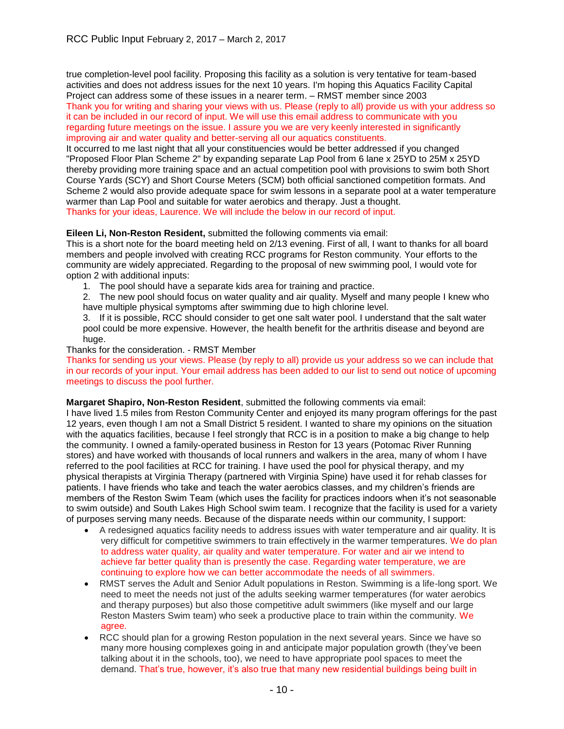true completion-level pool facility. Proposing this facility as a solution is very tentative for team-based activities and does not address issues for the next 10 years. I'm hoping this Aquatics Facility Capital Project can address some of these issues in a nearer term. – RMST member since 2003 Thank you for writing and sharing your views with us. Please (reply to all) provide us with your address so it can be included in our record of input. We will use this email address to communicate with you regarding future meetings on the issue. I assure you we are very keenly interested in significantly improving air and water quality and better-serving all our aquatics constituents.

It occurred to me last night that all your constituencies would be better addressed if you changed "Proposed Floor Plan Scheme 2" by expanding separate Lap Pool from 6 lane x 25YD to 25M x 25YD thereby providing more training space and an actual competition pool with provisions to swim both Short Course Yards (SCY) and Short Course Meters (SCM) both official sanctioned competition formats. And Scheme 2 would also provide adequate space for swim lessons in a separate pool at a water temperature warmer than Lap Pool and suitable for water aerobics and therapy. Just a thought. Thanks for your ideas, Laurence. We will include the below in our record of input.

# **Eileen Li, Non-Reston Resident,** submitted the following comments via email:

This is a short note for the board meeting held on 2/13 evening. First of all, I want to thanks for all board members and people involved with creating RCC programs for Reston community. Your efforts to the community are widely appreciated. Regarding to the proposal of new swimming pool, I would vote for option 2 with additional inputs:

1. The pool should have a separate kids area for training and practice.

2. The new pool should focus on water quality and air quality. Myself and many people I knew who have multiple physical symptoms after swimming due to high chlorine level.

3. If it is possible, RCC should consider to get one salt water pool. I understand that the salt water pool could be more expensive. However, the health benefit for the arthritis disease and beyond are huge.

Thanks for the consideration. - RMST Member

Thanks for sending us your views. Please (by reply to all) provide us your address so we can include that in our records of your input. Your email address has been added to our list to send out notice of upcoming meetings to discuss the pool further.

**Margaret Shapiro, Non-Reston Resident**, submitted the following comments via email:

I have lived 1.5 miles from Reston Community Center and enjoyed its many program offerings for the past 12 years, even though I am not a Small District 5 resident. I wanted to share my opinions on the situation with the aquatics facilities, because I feel strongly that RCC is in a position to make a big change to help the community. I owned a family-operated business in Reston for 13 years (Potomac River Running stores) and have worked with thousands of local runners and walkers in the area, many of whom I have referred to the pool facilities at RCC for training. I have used the pool for physical therapy, and my physical therapists at Virginia Therapy (partnered with Virginia Spine) have used it for rehab classes for patients. I have friends who take and teach the water aerobics classes, and my children's friends are members of the Reston Swim Team (which uses the facility for practices indoors when it's not seasonable to swim outside) and South Lakes High School swim team. I recognize that the facility is used for a variety of purposes serving many needs. Because of the disparate needs within our community, I support:

- A redesigned aquatics facility needs to address issues with water temperature and air quality. It is very difficult for competitive swimmers to train effectively in the warmer temperatures. We do plan to address water quality, air quality and water temperature. For water and air we intend to achieve far better quality than is presently the case. Regarding water temperature, we are continuing to explore how we can better accommodate the needs of all swimmers.
- RMST serves the Adult and Senior Adult populations in Reston. Swimming is a life-long sport. We need to meet the needs not just of the adults seeking warmer temperatures (for water aerobics and therapy purposes) but also those competitive adult swimmers (like myself and our large Reston Masters Swim team) who seek a productive place to train within the community. We agree.
- RCC should plan for a growing Reston population in the next several years. Since we have so many more housing complexes going in and anticipate major population growth (they've been talking about it in the schools, too), we need to have appropriate pool spaces to meet the demand. That's true, however, it's also true that many new residential buildings being built in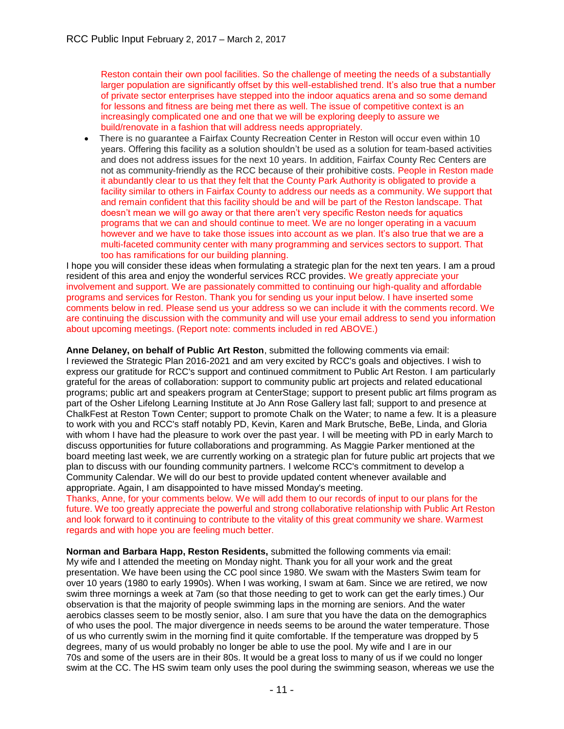Reston contain their own pool facilities. So the challenge of meeting the needs of a substantially larger population are significantly offset by this well-established trend. It's also true that a number of private sector enterprises have stepped into the indoor aquatics arena and so some demand for lessons and fitness are being met there as well. The issue of competitive context is an increasingly complicated one and one that we will be exploring deeply to assure we build/renovate in a fashion that will address needs appropriately.

 There is no guarantee a Fairfax County Recreation Center in Reston will occur even within 10 years. Offering this facility as a solution shouldn't be used as a solution for team-based activities and does not address issues for the next 10 years. In addition, Fairfax County Rec Centers are not as community-friendly as the RCC because of their prohibitive costs. People in Reston made it abundantly clear to us that they felt that the County Park Authority is obligated to provide a facility similar to others in Fairfax County to address our needs as a community. We support that and remain confident that this facility should be and will be part of the Reston landscape. That doesn't mean we will go away or that there aren't very specific Reston needs for aquatics programs that we can and should continue to meet. We are no longer operating in a vacuum however and we have to take those issues into account as we plan. It's also true that we are a multi-faceted community center with many programming and services sectors to support. That too has ramifications for our building planning.

I hope you will consider these ideas when formulating a strategic plan for the next ten years. I am a proud resident of this area and enjoy the wonderful services RCC provides. We greatly appreciate your involvement and support. We are passionately committed to continuing our high-quality and affordable programs and services for Reston. Thank you for sending us your input below. I have inserted some comments below in red. Please send us your address so we can include it with the comments record. We are continuing the discussion with the community and will use your email address to send you information about upcoming meetings. (Report note: comments included in red ABOVE.)

**Anne Delaney, on behalf of Public Art Reston**, submitted the following comments via email: I reviewed the Strategic Plan 2016-2021 and am very excited by RCC's goals and objectives. I wish to express our gratitude for RCC's support and continued commitment to Public Art Reston. I am particularly grateful for the areas of collaboration: support to community public art projects and related educational programs; public art and speakers program at CenterStage; support to present public art films program as part of the Osher Lifelong Learning Institute at Jo Ann Rose Gallery last fall; support to and presence at ChalkFest at Reston Town Center; support to promote Chalk on the Water; to name a few. It is a pleasure to work with you and RCC's staff notably PD, Kevin, Karen and Mark Brutsche, BeBe, Linda, and Gloria with whom I have had the pleasure to work over the past year. I will be meeting with PD in early March to discuss opportunities for future collaborations and programming. As Maggie Parker mentioned at the board meeting last week, we are currently working on a strategic plan for future public art projects that we plan to discuss with our founding community partners. I welcome RCC's commitment to develop a Community Calendar. We will do our best to provide updated content whenever available and appropriate. Again, I am disappointed to have missed Monday's meeting.

Thanks, Anne, for your comments below. We will add them to our records of input to our plans for the future. We too greatly appreciate the powerful and strong collaborative relationship with Public Art Reston and look forward to it continuing to contribute to the vitality of this great community we share. Warmest regards and with hope you are feeling much better.

**Norman and Barbara Happ, Reston Residents,** submitted the following comments via email: My wife and I attended the meeting on Monday night. Thank you for all your work and the great presentation. We have been using the CC pool since 1980. We swam with the Masters Swim team for over 10 years (1980 to early 1990s). When I was working, I swam at 6am. Since we are retired, we now swim three mornings a week at 7am (so that those needing to get to work can get the early times.) Our observation is that the majority of people swimming laps in the morning are seniors. And the water aerobics classes seem to be mostly senior, also. I am sure that you have the data on the demographics of who uses the pool. The major divergence in needs seems to be around the water temperature. Those of us who currently swim in the morning find it quite comfortable. If the temperature was dropped by 5 degrees, many of us would probably no longer be able to use the pool. My wife and I are in our 70s and some of the users are in their 80s. It would be a great loss to many of us if we could no longer swim at the CC. The HS swim team only uses the pool during the swimming season, whereas we use the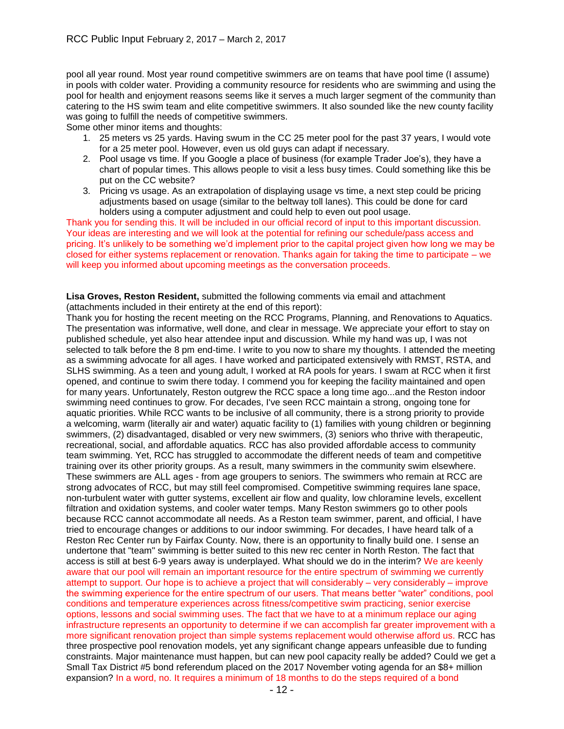pool all year round. Most year round competitive swimmers are on teams that have pool time (I assume) in pools with colder water. Providing a community resource for residents who are swimming and using the pool for health and enjoyment reasons seems like it serves a much larger segment of the community than catering to the HS swim team and elite competitive swimmers. It also sounded like the new county facility was going to fulfill the needs of competitive swimmers.

Some other minor items and thoughts:

- 1. 25 meters vs 25 yards. Having swum in the CC 25 meter pool for the past 37 years, I would vote for a 25 meter pool. However, even us old guys can adapt if necessary.
- 2. Pool usage vs time. If you Google a place of business (for example Trader Joe's), they have a chart of popular times. This allows people to visit a less busy times. Could something like this be put on the CC website?
- 3. Pricing vs usage. As an extrapolation of displaying usage vs time, a next step could be pricing adjustments based on usage (similar to the beltway toll lanes). This could be done for card holders using a computer adjustment and could help to even out pool usage.

Thank you for sending this. It will be included in our official record of input to this important discussion. Your ideas are interesting and we will look at the potential for refining our schedule/pass access and pricing. It's unlikely to be something we'd implement prior to the capital project given how long we may be closed for either systems replacement or renovation. Thanks again for taking the time to participate – we will keep you informed about upcoming meetings as the conversation proceeds.

**Lisa Groves, Reston Resident,** submitted the following comments via email and attachment (attachments included in their entirety at the end of this report):

Thank you for hosting the recent meeting on the RCC Programs, Planning, and Renovations to Aquatics. The presentation was informative, well done, and clear in message. We appreciate your effort to stay on published schedule, yet also hear attendee input and discussion. While my hand was up, I was not selected to talk before the 8 pm end-time. I write to you now to share my thoughts. I attended the meeting as a swimming advocate for all ages. I have worked and participated extensively with RMST, RSTA, and SLHS swimming. As a teen and young adult, I worked at RA pools for years. I swam at RCC when it first opened, and continue to swim there today. I commend you for keeping the facility maintained and open for many years. Unfortunately, Reston outgrew the RCC space a long time ago...and the Reston indoor swimming need continues to grow. For decades, I've seen RCC maintain a strong, ongoing tone for aquatic priorities. While RCC wants to be inclusive of all community, there is a strong priority to provide a welcoming, warm (literally air and water) aquatic facility to (1) families with young children or beginning swimmers, (2) disadvantaged, disabled or very new swimmers, (3) seniors who thrive with therapeutic, recreational, social, and affordable aquatics. RCC has also provided affordable access to community team swimming. Yet, RCC has struggled to accommodate the different needs of team and competitive training over its other priority groups. As a result, many swimmers in the community swim elsewhere. These swimmers are ALL ages - from age groupers to seniors. The swimmers who remain at RCC are strong advocates of RCC, but may still feel compromised. Competitive swimming requires lane space, non-turbulent water with gutter systems, excellent air flow and quality, low chloramine levels, excellent filtration and oxidation systems, and cooler water temps. Many Reston swimmers go to other pools because RCC cannot accommodate all needs. As a Reston team swimmer, parent, and official, I have tried to encourage changes or additions to our indoor swimming. For decades, I have heard talk of a Reston Rec Center run by Fairfax County. Now, there is an opportunity to finally build one. I sense an undertone that "team" swimming is better suited to this new rec center in North Reston. The fact that access is still at best 6-9 years away is underplayed. What should we do in the interim? We are keenly aware that our pool will remain an important resource for the entire spectrum of swimming we currently attempt to support. Our hope is to achieve a project that will considerably – very considerably – improve the swimming experience for the entire spectrum of our users. That means better "water" conditions, pool conditions and temperature experiences across fitness/competitive swim practicing, senior exercise options, lessons and social swimming uses. The fact that we have to at a minimum replace our aging infrastructure represents an opportunity to determine if we can accomplish far greater improvement with a more significant renovation project than simple systems replacement would otherwise afford us. RCC has three prospective pool renovation models, yet any significant change appears unfeasible due to funding constraints. Major maintenance must happen, but can new pool capacity really be added? Could we get a Small Tax District #5 bond referendum placed on the 2017 November voting agenda for an \$8+ million expansion? In a word, no. It requires a minimum of 18 months to do the steps required of a bond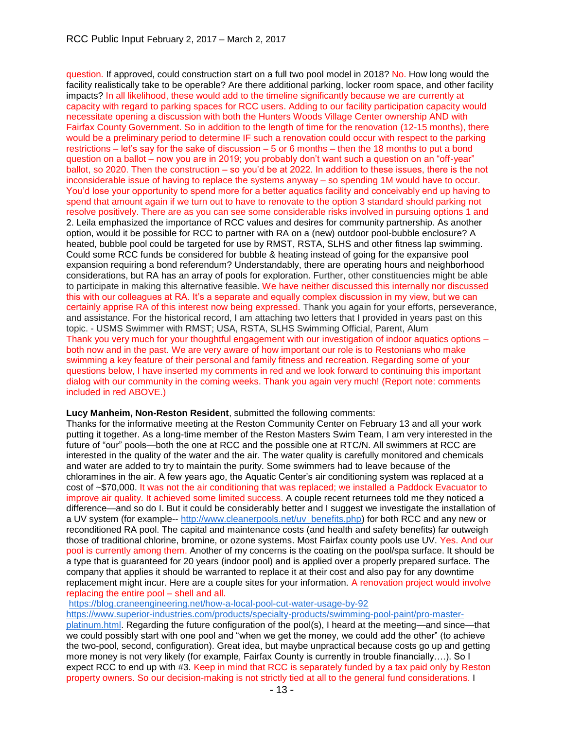question. If approved, could construction start on a full two pool model in 2018? No. How long would the facility realistically take to be operable? Are there additional parking, locker room space, and other facility impacts? In all likelihood, these would add to the timeline significantly because we are currently at capacity with regard to parking spaces for RCC users. Adding to our facility participation capacity would necessitate opening a discussion with both the Hunters Woods Village Center ownership AND with Fairfax County Government. So in addition to the length of time for the renovation (12-15 months), there would be a preliminary period to determine IF such a renovation could occur with respect to the parking restrictions – let's say for the sake of discussion – 5 or 6 months – then the 18 months to put a bond question on a ballot – now you are in 2019; you probably don't want such a question on an "off-year" ballot, so 2020. Then the construction – so you'd be at 2022. In addition to these issues, there is the not inconsiderable issue of having to replace the systems anyway – so spending 1M would have to occur. You'd lose your opportunity to spend more for a better aquatics facility and conceivably end up having to spend that amount again if we turn out to have to renovate to the option 3 standard should parking not resolve positively. There are as you can see some considerable risks involved in pursuing options 1 and 2. Leila emphasized the importance of RCC values and desires for community partnership. As another option, would it be possible for RCC to partner with RA on a (new) outdoor pool-bubble enclosure? A heated, bubble pool could be targeted for use by RMST, RSTA, SLHS and other fitness lap swimming. Could some RCC funds be considered for bubble & heating instead of going for the expansive pool expansion requiring a bond referendum? Understandably, there are operating hours and neighborhood considerations, but RA has an array of pools for exploration. Further, other constituencies might be able to participate in making this alternative feasible. We have neither discussed this internally nor discussed this with our colleagues at RA. It's a separate and equally complex discussion in my view, but we can certainly apprise RA of this interest now being expressed. Thank you again for your efforts, perseverance, and assistance. For the historical record, I am attaching two letters that I provided in years past on this topic. - USMS Swimmer with RMST; USA, RSTA, SLHS Swimming Official, Parent, Alum Thank you very much for your thoughtful engagement with our investigation of indoor aquatics options – both now and in the past. We are very aware of how important our role is to Restonians who make swimming a key feature of their personal and family fitness and recreation. Regarding some of your questions below, I have inserted my comments in red and we look forward to continuing this important dialog with our community in the coming weeks. Thank you again very much! (Report note: comments included in red ABOVE.)

## **Lucy Manheim, Non-Reston Resident**, submitted the following comments:

Thanks for the informative meeting at the Reston Community Center on February 13 and all your work putting it together. As a long-time member of the Reston Masters Swim Team, I am very interested in the future of "our" pools—both the one at RCC and the possible one at RTC/N. All swimmers at RCC are interested in the quality of the water and the air. The water quality is carefully monitored and chemicals and water are added to try to maintain the purity. Some swimmers had to leave because of the chloramines in the air. A few years ago, the Aquatic Center's air conditioning system was replaced at a cost of ~\$70,000. It was not the air conditioning that was replaced; we installed a Paddock Evacuator to improve air quality. It achieved some limited success. A couple recent returnees told me they noticed a difference—and so do I. But it could be considerably better and I suggest we investigate the installation of a UV system (for example-- [http://www.cleanerpools.net/uv\\_benefits.php\)](http://www.cleanerpools.net/uv_benefits.php) for both RCC and any new or reconditioned RA pool. The capital and maintenance costs (and health and safety benefits) far outweigh those of traditional chlorine, bromine, or ozone systems. Most Fairfax county pools use UV. Yes. And our pool is currently among them. Another of my concerns is the coating on the pool/spa surface. It should be a type that is guaranteed for 20 years (indoor pool) and is applied over a properly prepared surface. The company that applies it should be warranted to replace it at their cost and also pay for any downtime replacement might incur. Here are a couple sites for your information. A renovation project would involve replacing the entire pool – shell and all.

<https://blog.craneengineering.net/how-a-local-pool-cut-water-usage-by-92>

[https://www.superior-industries.com/products/specialty-products/swimming-pool-paint/pro-master](https://www.superior-industries.com/products/specialty-products/swimming-pool-paint/pro-master-platinum.html)[platinum.html.](https://www.superior-industries.com/products/specialty-products/swimming-pool-paint/pro-master-platinum.html) Regarding the future configuration of the pool(s), I heard at the meeting—and since—that we could possibly start with one pool and "when we get the money, we could add the other" (to achieve the two-pool, second, configuration). Great idea, but maybe unpractical because costs go up and getting more money is not very likely (for example, Fairfax County is currently in trouble financially….). So I expect RCC to end up with #3. Keep in mind that RCC is separately funded by a tax paid only by Reston property owners. So our decision-making is not strictly tied at all to the general fund considerations. I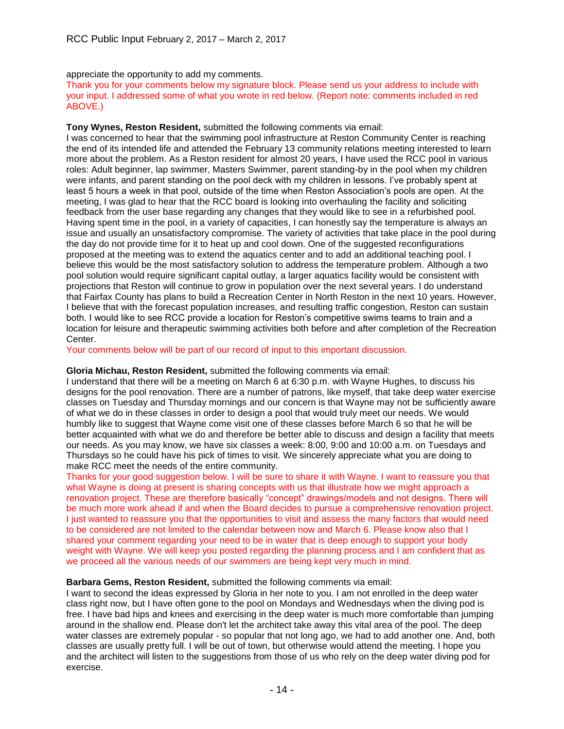appreciate the opportunity to add my comments.

Thank you for your comments below my signature block. Please send us your address to include with your input. I addressed some of what you wrote in red below. (Report note: comments included in red ABOVE.)

**Tony Wynes, Reston Resident,** submitted the following comments via email:

I was concerned to hear that the swimming pool infrastructure at Reston Community Center is reaching the end of its intended life and attended the February 13 community relations meeting interested to learn more about the problem. As a Reston resident for almost 20 years, I have used the RCC pool in various roles: Adult beginner, lap swimmer, Masters Swimmer, parent standing-by in the pool when my children were infants, and parent standing on the pool deck with my children in lessons. I've probably spent at least 5 hours a week in that pool, outside of the time when Reston Association's pools are open. At the meeting, I was glad to hear that the RCC board is looking into overhauling the facility and soliciting feedback from the user base regarding any changes that they would like to see in a refurbished pool. Having spent time in the pool, in a variety of capacities, I can honestly say the temperature is always an issue and usually an unsatisfactory compromise. The variety of activities that take place in the pool during the day do not provide time for it to heat up and cool down. One of the suggested reconfigurations proposed at the meeting was to extend the aquatics center and to add an additional teaching pool. I believe this would be the most satisfactory solution to address the temperature problem. Although a two pool solution would require significant capital outlay, a larger aquatics facility would be consistent with projections that Reston will continue to grow in population over the next several years. I do understand that Fairfax County has plans to build a Recreation Center in North Reston in the next 10 years. However, I believe that with the forecast population increases, and resulting traffic congestion, Reston can sustain both. I would like to see RCC provide a location for Reston's competitive swims teams to train and a location for leisure and therapeutic swimming activities both before and after completion of the Recreation Center.

Your comments below will be part of our record of input to this important discussion.

## **Gloria Michau, Reston Resident,** submitted the following comments via email:

I understand that there will be a meeting on March 6 at 6:30 p.m. with Wayne Hughes, to discuss his designs for the pool renovation. There are a number of patrons, like myself, that take deep water exercise classes on Tuesday and Thursday mornings and our concern is that Wayne may not be sufficiently aware of what we do in these classes in order to design a pool that would truly meet our needs. We would humbly like to suggest that Wayne come visit one of these classes before March 6 so that he will be better acquainted with what we do and therefore be better able to discuss and design a facility that meets our needs. As you may know, we have six classes a week: 8:00, 9:00 and 10:00 a.m. on Tuesdays and Thursdays so he could have his pick of times to visit. We sincerely appreciate what you are doing to make RCC meet the needs of the entire community.

Thanks for your good suggestion below. I will be sure to share it with Wayne. I want to reassure you that what Wayne is doing at present is sharing concepts with us that illustrate how we might approach a renovation project. These are therefore basically "concept" drawings/models and not designs. There will be much more work ahead if and when the Board decides to pursue a comprehensive renovation project. I just wanted to reassure you that the opportunities to visit and assess the many factors that would need to be considered are not limited to the calendar between now and March 6. Please know also that I shared your comment regarding your need to be in water that is deep enough to support your body weight with Wayne. We will keep you posted regarding the planning process and I am confident that as we proceed all the various needs of our swimmers are being kept very much in mind.

## **Barbara Gems, Reston Resident,** submitted the following comments via email:

I want to second the ideas expressed by Gloria in her note to you. I am not enrolled in the deep water class right now, but I have often gone to the pool on Mondays and Wednesdays when the diving pod is free. I have bad hips and knees and exercising in the deep water is much more comfortable than jumping around in the shallow end. Please don't let the architect take away this vital area of the pool. The deep water classes are extremely popular - so popular that not long ago, we had to add another one. And, both classes are usually pretty full. I will be out of town, but otherwise would attend the meeting. I hope you and the architect will listen to the suggestions from those of us who rely on the deep water diving pod for exercise.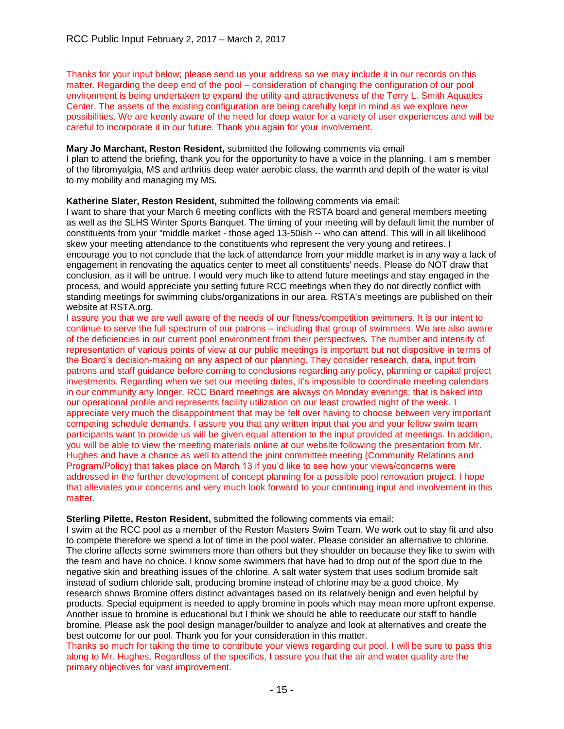Thanks for your input below; please send us your address so we may include it in our records on this matter. Regarding the deep end of the pool – consideration of changing the configuration of our pool environment is being undertaken to expand the utility and attractiveness of the Terry L. Smith Aquatics Center. The assets of the existing configuration are being carefully kept in mind as we explore new possibilities. We are keenly aware of the need for deep water for a variety of user experiences and will be careful to incorporate it in our future. Thank you again for your involvement.

## **Mary Jo Marchant, Reston Resident,** submitted the following comments via email

I plan to attend the briefing, thank you for the opportunity to have a voice in the planning. I am s member of the fibromyalgia, MS and arthritis deep water aerobic class, the warmth and depth of the water is vital to my mobility and managing my MS.

#### **Katherine Slater, Reston Resident,** submitted the following comments via email:

I want to share that your March 6 meeting conflicts with the RSTA board and general members meeting as well as the SLHS Winter Sports Banquet. The timing of your meeting will by default limit the number of constituents from your "middle market - those aged 13-50ish -- who can attend. This will in all likelihood skew your meeting attendance to the constituents who represent the very young and retirees. I encourage you to not conclude that the lack of attendance from your middle market is in any way a lack of engagement in renovating the aquatics center to meet all constituents' needs. Please do NOT draw that conclusion, as it will be untrue. I would very much like to attend future meetings and stay engaged in the process, and would appreciate you setting future RCC meetings when they do not directly conflict with standing meetings for swimming clubs/organizations in our area. RSTA's meetings are published on their website at RSTA.org.

I assure you that we are well aware of the needs of our fitness/competition swimmers. It is our intent to continue to serve the full spectrum of our patrons – including that group of swimmers. We are also aware of the deficiencies in our current pool environment from their perspectives. The number and intensity of representation of various points of view at our public meetings is important but not dispositive in terms of the Board's decision-making on any aspect of our planning. They consider research, data, input from patrons and staff guidance before coming to conclusions regarding any policy, planning or capital project investments. Regarding when we set our meeting dates, it's impossible to coordinate meeting calendars in our community any longer. RCC Board meetings are always on Monday evenings; that is baked into our operational profile and represents facility utilization on our least crowded night of the week. I appreciate very much the disappointment that may be felt over having to choose between very important competing schedule demands. I assure you that any written input that you and your fellow swim team participants want to provide us will be given equal attention to the input provided at meetings. In addition, you will be able to view the meeting materials online at our website following the presentation from Mr. Hughes and have a chance as well to attend the joint committee meeting (Community Relations and Program/Policy) that takes place on March 13 if you'd like to see how your views/concerns were addressed in the further development of concept planning for a possible pool renovation project. I hope that alleviates your concerns and very much look forward to your continuing input and involvement in this matter.

#### **Sterling Pilette, Reston Resident,** submitted the following comments via email:

I swim at the RCC pool as a member of the Reston Masters Swim Team. We work out to stay fit and also to compete therefore we spend a lot of time in the pool water. Please consider an alternative to chlorine. The clorine affects some swimmers more than others but they shoulder on because they like to swim with the team and have no choice. I know some swimmers that have had to drop out of the sport due to the negative skin and breathing issues of the chlorine. A salt water system that uses sodium bromide salt instead of sodium chloride salt, producing bromine instead of chlorine may be a good choice. My research shows Bromine offers distinct advantages based on its relatively benign and even helpful by products. Special equipment is needed to apply bromine in pools which may mean more upfront expense. Another issue to bromine is educational but I think we should be able to reeducate our staff to handle bromine. Please ask the pool design manager/builder to analyze and look at alternatives and create the best outcome for our pool. Thank you for your consideration in this matter.

Thanks so much for taking the time to contribute your views regarding our pool. I will be sure to pass this along to Mr. Hughes. Regardless of the specifics, I assure you that the air and water quality are the primary objectives for vast improvement.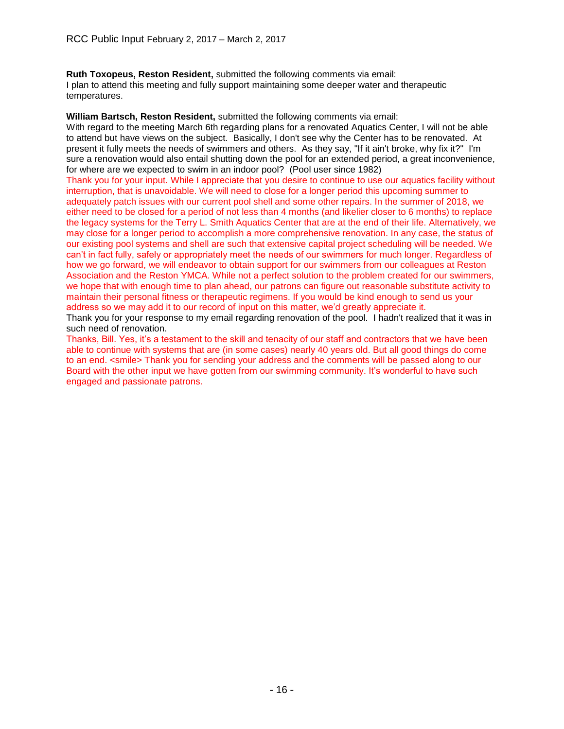**Ruth Toxopeus, Reston Resident,** submitted the following comments via email: I plan to attend this meeting and fully support maintaining some deeper water and therapeutic temperatures.

**William Bartsch, Reston Resident,** submitted the following comments via email: With regard to the meeting March 6th regarding plans for a renovated Aquatics Center, I will not be able to attend but have views on the subject. Basically, I don't see why the Center has to be renovated. At present it fully meets the needs of swimmers and others. As they say, "If it ain't broke, why fix it?" I'm sure a renovation would also entail shutting down the pool for an extended period, a great inconvenience, for where are we expected to swim in an indoor pool? (Pool user since 1982)

Thank you for your input. While I appreciate that you desire to continue to use our aquatics facility without interruption, that is unavoidable. We will need to close for a longer period this upcoming summer to adequately patch issues with our current pool shell and some other repairs. In the summer of 2018, we either need to be closed for a period of not less than 4 months (and likelier closer to 6 months) to replace the legacy systems for the Terry L. Smith Aquatics Center that are at the end of their life. Alternatively, we may close for a longer period to accomplish a more comprehensive renovation. In any case, the status of our existing pool systems and shell are such that extensive capital project scheduling will be needed. We can't in fact fully, safely or appropriately meet the needs of our swimmers for much longer. Regardless of how we go forward, we will endeavor to obtain support for our swimmers from our colleagues at Reston Association and the Reston YMCA. While not a perfect solution to the problem created for our swimmers, we hope that with enough time to plan ahead, our patrons can figure out reasonable substitute activity to maintain their personal fitness or therapeutic regimens. If you would be kind enough to send us your address so we may add it to our record of input on this matter, we'd greatly appreciate it.

Thank you for your response to my email regarding renovation of the pool. I hadn't realized that it was in such need of renovation.

Thanks, Bill. Yes, it's a testament to the skill and tenacity of our staff and contractors that we have been able to continue with systems that are (in some cases) nearly 40 years old. But all good things do come to an end. <smile> Thank you for sending your address and the comments will be passed along to our Board with the other input we have gotten from our swimming community. It's wonderful to have such engaged and passionate patrons.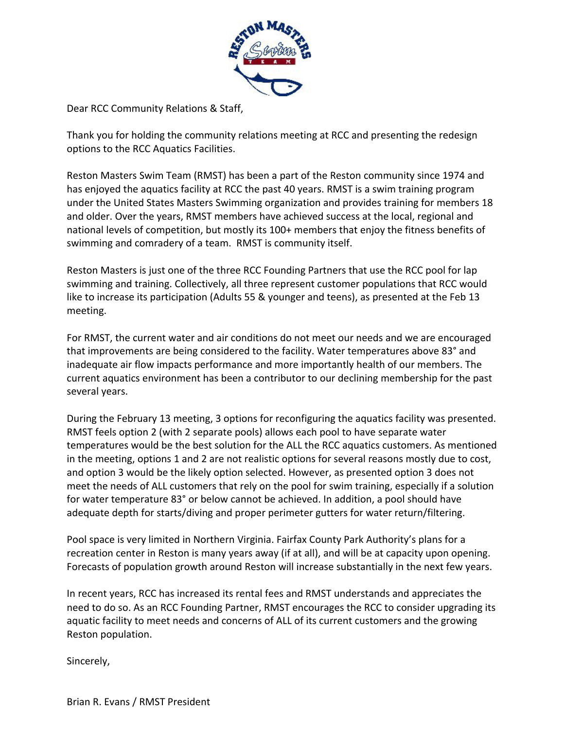

Dear RCC Community Relations & Staff,

Thank you for holding the community relations meeting at RCC and presenting the redesign options to the RCC Aquatics Facilities.

Reston Masters Swim Team (RMST) has been a part of the Reston community since 1974 and has enjoyed the aquatics facility at RCC the past 40 years. RMST is a swim training program under the United States Masters Swimming organization and provides training for members 18 and older. Over the years, RMST members have achieved success at the local, regional and national levels of competition, but mostly its 100+ members that enjoy the fitness benefits of swimming and comradery of a team. RMST is community itself.

Reston Masters is just one of the three RCC Founding Partners that use the RCC pool for lap swimming and training. Collectively, all three represent customer populations that RCC would like to increase its participation (Adults 55 & younger and teens), as presented at the Feb 13 meeting.

For RMST, the current water and air conditions do not meet our needs and we are encouraged that improvements are being considered to the facility. Water temperatures above 83° and inadequate air flow impacts performance and more importantly health of our members. The current aquatics environment has been a contributor to our declining membership for the past several years.

During the February 13 meeting, 3 options for reconfiguring the aquatics facility was presented. RMST feels option 2 (with 2 separate pools) allows each pool to have separate water temperatures would be the best solution for the ALL the RCC aquatics customers. As mentioned in the meeting, options 1 and 2 are not realistic options for several reasons mostly due to cost, and option 3 would be the likely option selected. However, as presented option 3 does not meet the needs of ALL customers that rely on the pool for swim training, especially if a solution for water temperature 83° or below cannot be achieved. In addition, a pool should have adequate depth for starts/diving and proper perimeter gutters for water return/filtering.

Pool space is very limited in Northern Virginia. Fairfax County Park Authority's plans for a recreation center in Reston is many years away (if at all), and will be at capacity upon opening. Forecasts of population growth around Reston will increase substantially in the next few years.

In recent years, RCC has increased its rental fees and RMST understands and appreciates the need to do so. As an RCC Founding Partner, RMST encourages the RCC to consider upgrading its aquatic facility to meet needs and concerns of ALL of its current customers and the growing Reston population.

Sincerely,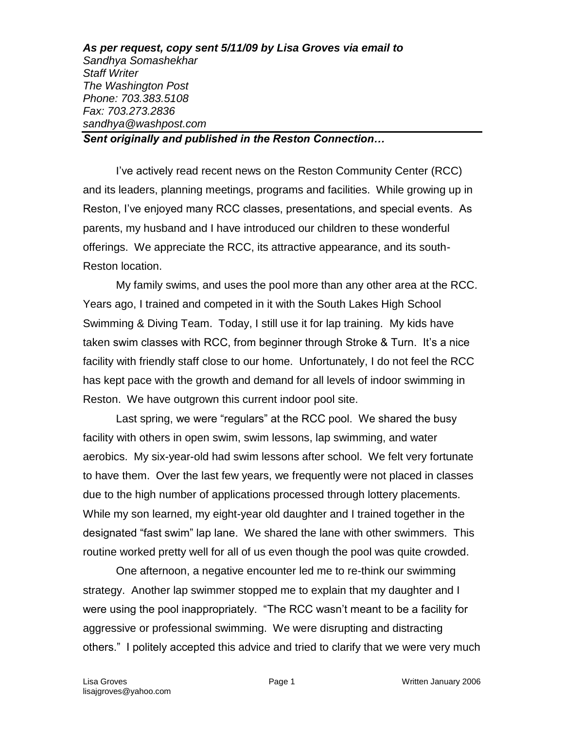*As per request, copy sent 5/11/09 by Lisa Groves via email to Sandhya Somashekhar Staff Writer The Washington Post Phone: 703.383.5108 Fax: 703.273.2836 sandhya@washpost.com*

*Sent originally and published in the Reston Connection…*

I've actively read recent news on the Reston Community Center (RCC) and its leaders, planning meetings, programs and facilities. While growing up in Reston, I've enjoyed many RCC classes, presentations, and special events. As parents, my husband and I have introduced our children to these wonderful offerings. We appreciate the RCC, its attractive appearance, and its south-Reston location.

My family swims, and uses the pool more than any other area at the RCC. Years ago, I trained and competed in it with the South Lakes High School Swimming & Diving Team. Today, I still use it for lap training. My kids have taken swim classes with RCC, from beginner through Stroke & Turn. It's a nice facility with friendly staff close to our home. Unfortunately, I do not feel the RCC has kept pace with the growth and demand for all levels of indoor swimming in Reston. We have outgrown this current indoor pool site.

Last spring, we were "regulars" at the RCC pool. We shared the busy facility with others in open swim, swim lessons, lap swimming, and water aerobics. My six-year-old had swim lessons after school. We felt very fortunate to have them. Over the last few years, we frequently were not placed in classes due to the high number of applications processed through lottery placements. While my son learned, my eight-year old daughter and I trained together in the designated "fast swim" lap lane. We shared the lane with other swimmers. This routine worked pretty well for all of us even though the pool was quite crowded.

One afternoon, a negative encounter led me to re-think our swimming strategy. Another lap swimmer stopped me to explain that my daughter and I were using the pool inappropriately. "The RCC wasn't meant to be a facility for aggressive or professional swimming. We were disrupting and distracting others." I politely accepted this advice and tried to clarify that we were very much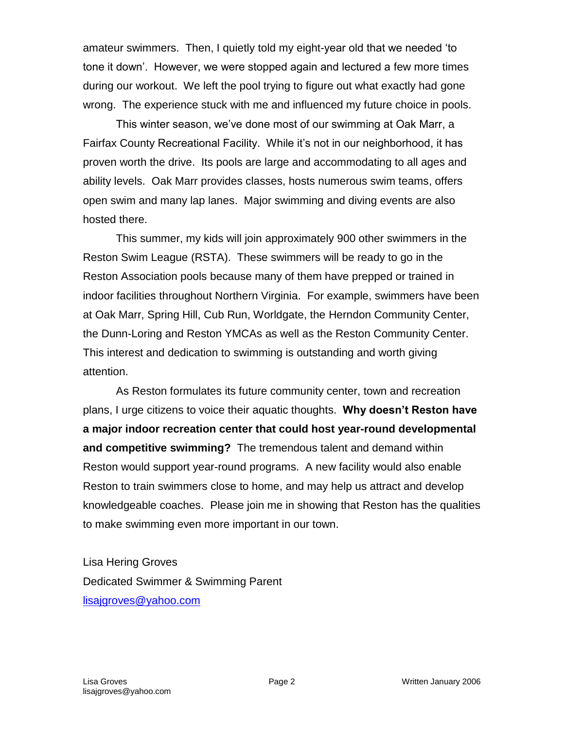amateur swimmers. Then, I quietly told my eight-year old that we needed 'to tone it down'. However, we were stopped again and lectured a few more times during our workout. We left the pool trying to figure out what exactly had gone wrong. The experience stuck with me and influenced my future choice in pools.

This winter season, we've done most of our swimming at Oak Marr, a Fairfax County Recreational Facility. While it's not in our neighborhood, it has proven worth the drive. Its pools are large and accommodating to all ages and ability levels. Oak Marr provides classes, hosts numerous swim teams, offers open swim and many lap lanes. Major swimming and diving events are also hosted there.

This summer, my kids will join approximately 900 other swimmers in the Reston Swim League (RSTA). These swimmers will be ready to go in the Reston Association pools because many of them have prepped or trained in indoor facilities throughout Northern Virginia. For example, swimmers have been at Oak Marr, Spring Hill, Cub Run, Worldgate, the Herndon Community Center, the Dunn-Loring and Reston YMCAs as well as the Reston Community Center. This interest and dedication to swimming is outstanding and worth giving attention.

As Reston formulates its future community center, town and recreation plans, I urge citizens to voice their aquatic thoughts. **Why doesn't Reston have a major indoor recreation center that could host year-round developmental and competitive swimming?** The tremendous talent and demand within Reston would support year-round programs. A new facility would also enable Reston to train swimmers close to home, and may help us attract and develop knowledgeable coaches. Please join me in showing that Reston has the qualities to make swimming even more important in our town.

Lisa Hering Groves Dedicated Swimmer & Swimming Parent [lisajgroves@yahoo.com](mailto:lisajgroves@yahoo.com)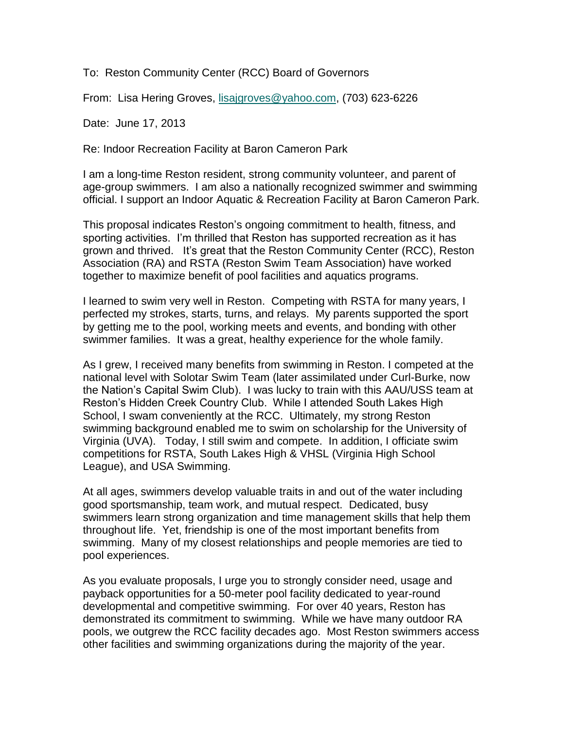To: Reston Community Center (RCC) Board of Governors

From: Lisa Hering Groves, [lisajgroves@yahoo.com,](mailto:lisajgroves@yahoo.com) (703) 623-6226

Date: June 17, 2013

Re: Indoor Recreation Facility at Baron Cameron Park

I am a long-time Reston resident, strong community volunteer, and parent of age-group swimmers. I am also a nationally recognized swimmer and swimming official. I support an Indoor Aquatic & Recreation Facility at Baron Cameron Park.

This proposal indicates Reston's ongoing commitment to health, fitness, and sporting activities. I'm thrilled that Reston has supported recreation as it has grown and thrived. It's great that the Reston Community Center (RCC), Reston Association (RA) and RSTA (Reston Swim Team Association) have worked together to maximize benefit of pool facilities and aquatics programs.

I learned to swim very well in Reston. Competing with RSTA for many years, I perfected my strokes, starts, turns, and relays. My parents supported the sport by getting me to the pool, working meets and events, and bonding with other swimmer families. It was a great, healthy experience for the whole family.

As I grew, I received many benefits from swimming in Reston. I competed at the national level with Solotar Swim Team (later assimilated under Curl-Burke, now the Nation's Capital Swim Club). I was lucky to train with this AAU/USS team at Reston's Hidden Creek Country Club. While I attended South Lakes High School, I swam conveniently at the RCC. Ultimately, my strong Reston swimming background enabled me to swim on scholarship for the University of Virginia (UVA). Today, I still swim and compete. In addition, I officiate swim competitions for RSTA, South Lakes High & VHSL (Virginia High School League), and USA Swimming.

At all ages, swimmers develop valuable traits in and out of the water including good sportsmanship, team work, and mutual respect. Dedicated, busy swimmers learn strong organization and time management skills that help them throughout life. Yet, friendship is one of the most important benefits from swimming. Many of my closest relationships and people memories are tied to pool experiences.

As you evaluate proposals, I urge you to strongly consider need, usage and payback opportunities for a 50-meter pool facility dedicated to year-round developmental and competitive swimming. For over 40 years, Reston has demonstrated its commitment to swimming. While we have many outdoor RA pools, we outgrew the RCC facility decades ago. Most Reston swimmers access other facilities and swimming organizations during the majority of the year.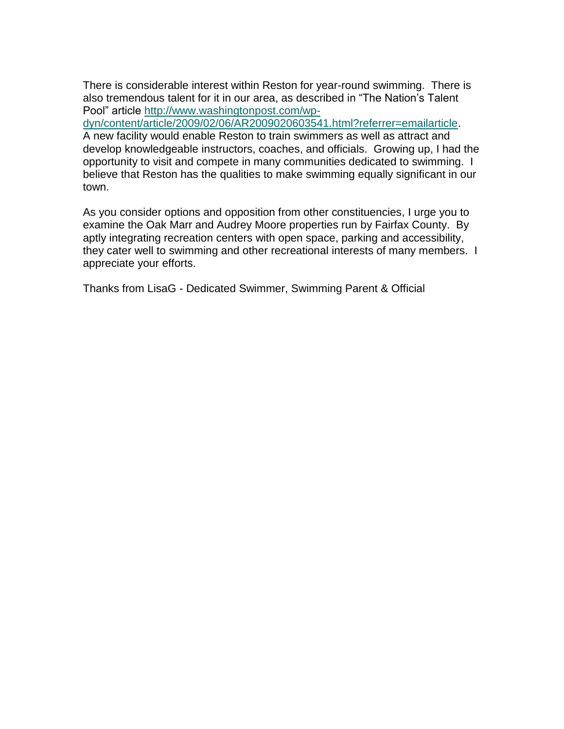There is considerable interest within Reston for year-round swimming. There is also tremendous talent for it in our area, as described in "The Nation's Talent Pool" article [http://www.washingtonpost.com/wp-](http://www.washingtonpost.com/wp-dyn/content/article/2009/02/06/AR2009020603541.html?referrer=emailarticle)

[dyn/content/article/2009/02/06/AR2009020603541.html?referrer=emailarticle.](http://www.washingtonpost.com/wp-dyn/content/article/2009/02/06/AR2009020603541.html?referrer=emailarticle)

A new facility would enable Reston to train swimmers as well as attract and develop knowledgeable instructors, coaches, and officials. Growing up, I had the opportunity to visit and compete in many communities dedicated to swimming. I believe that Reston has the qualities to make swimming equally significant in our town.

As you consider options and opposition from other constituencies, I urge you to examine the Oak Marr and Audrey Moore properties run by Fairfax County. By aptly integrating recreation centers with open space, parking and accessibility, they cater well to swimming and other recreational interests of many members. I appreciate your efforts.

Thanks from LisaG - Dedicated Swimmer, Swimming Parent & Official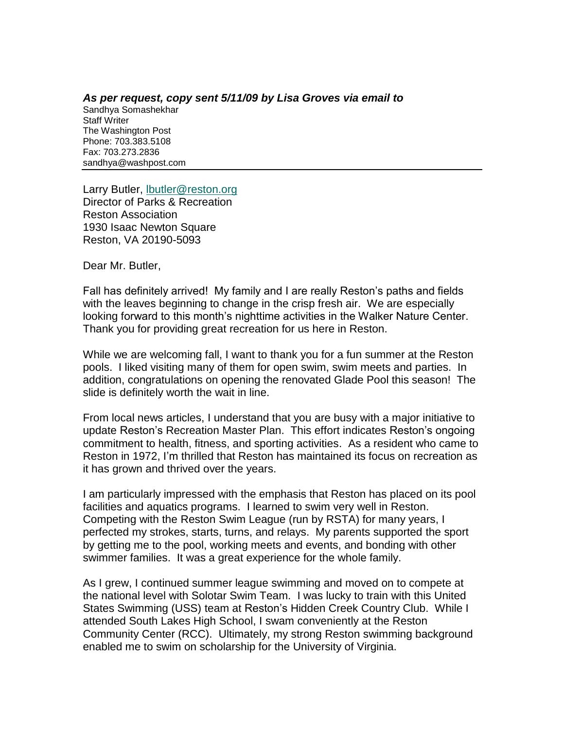*As per request, copy sent 5/11/09 by Lisa Groves via email to*  Sandhya Somashekhar Staff Writer The Washington Post Phone: 703.383.5108 Fax: 703.273.2836 sandhya@washpost.com

Larry Butler, **Ibutler@reston.org** Director of Parks & Recreation Reston Association 1930 Isaac Newton Square Reston, VA 20190-5093

Dear Mr. Butler,

Fall has definitely arrived! My family and I are really Reston's paths and fields with the leaves beginning to change in the crisp fresh air. We are especially looking forward to this month's nighttime activities in the Walker Nature Center. Thank you for providing great recreation for us here in Reston.

While we are welcoming fall, I want to thank you for a fun summer at the Reston pools. I liked visiting many of them for open swim, swim meets and parties. In addition, congratulations on opening the renovated Glade Pool this season! The slide is definitely worth the wait in line.

From local news articles, I understand that you are busy with a major initiative to update Reston's Recreation Master Plan. This effort indicates Reston's ongoing commitment to health, fitness, and sporting activities. As a resident who came to Reston in 1972, I'm thrilled that Reston has maintained its focus on recreation as it has grown and thrived over the years.

I am particularly impressed with the emphasis that Reston has placed on its pool facilities and aquatics programs. I learned to swim very well in Reston. Competing with the Reston Swim League (run by RSTA) for many years, I perfected my strokes, starts, turns, and relays. My parents supported the sport by getting me to the pool, working meets and events, and bonding with other swimmer families. It was a great experience for the whole family.

As I grew, I continued summer league swimming and moved on to compete at the national level with Solotar Swim Team. I was lucky to train with this United States Swimming (USS) team at Reston's Hidden Creek Country Club. While I attended South Lakes High School, I swam conveniently at the Reston Community Center (RCC). Ultimately, my strong Reston swimming background enabled me to swim on scholarship for the University of Virginia.